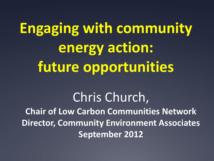**Engaging with community energy action: future opportunities**

#### Chris Church, **Chair of Low Carbon Communities Network Director, Community Environment Associates September 2012**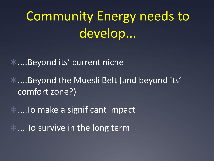# Community Energy needs to develop...

....Beyond its' current niche

....Beyond the Muesli Belt (and beyond its' comfort zone?)

\*....To make a significant impact

 $*$ ... To survive in the long term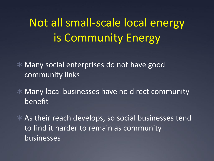## Not all small-scale local energy is Community Energy

 Many social enterprises do not have good community links

 Many local businesses have no direct community benefit

 As their reach develops, so social businesses tend to find it harder to remain as community businesses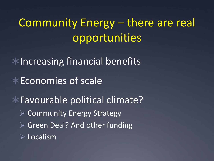Community Energy – there are real opportunities

 $*$ Increasing financial benefits

 $*$  Economies of scale

Favourable political climate?  $\triangleright$  Community Energy Strategy ▶ Green Deal? And other funding  $\triangleright$  Localism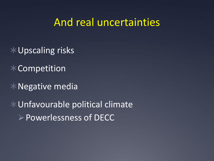#### And real uncertainties

- Upscaling risks
- $*$  Competition
- Negative media
- Unfavourable political climate Powerlessness of DECC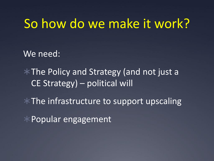#### So how do we make it work?

We need:

\* The Policy and Strategy (and not just a CE Strategy) – political will

 $*$  The infrastructure to support upscaling

 $*$  Popular engagement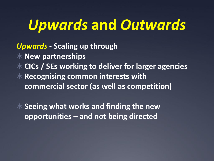## *Upwards* **and** *Outwards*

*Upwards* **- Scaling up through**

**New partnerships** 

**CICs / SEs working to deliver for larger agencies**

 **Recognising common interests with commercial sector (as well as competition)**

 **Seeing what works and finding the new opportunities – and not being directed**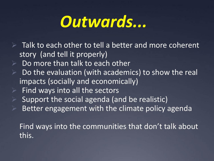# *Outwards...*

- $\triangleright$  Talk to each other to tell a better and more coherent story (and tell it properly)
- Do more than talk to each other
- Do the evaluation (with academics) to show the real impacts (socially and economically)
- $\triangleright$  Find ways into all the sectors
- $\triangleright$  Support the social agenda (and be realistic)
- Better engagement with the climate policy agenda

Find ways into the communities that don't talk about this.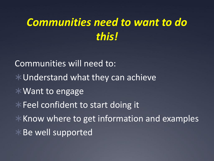### *Communities need to want to do this!*

Communities will need to: Understand what they can achieve Want to engage  $*$  Feel confident to start doing it  $*$  Know where to get information and examples Be well supported